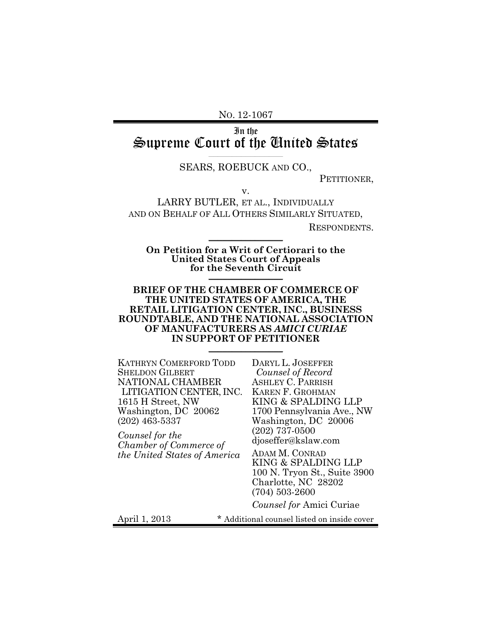NO. 12-1067

In the Supreme Court of the United States **\_\_\_\_\_\_\_\_\_\_\_\_\_\_\_\_**

#### SEARS, ROEBUCK AND CO.,

PETITIONER,

v.

LARRY BUTLER, ET AL., INDIVIDUALLY AND ON BEHALF OF ALL OTHERS SIMILARLY SITUATED,

RESPONDENTS.

**On Petition for a Writ of Certiorari to the United States Court of Appeals for the Seventh Circuit** \_\_\_\_\_\_\_\_\_\_\_\_\_\_\_\_

 $\frac{1}{2}$ 

#### **BRIEF OF THE CHAMBER OF COMMERCE OF THE UNITED STATES OF AMERICA, THE RETAIL LITIGATION CENTER, INC., BUSINESS ROUNDTABLE, AND THE NATIONAL ASSOCIATION OF MANUFACTURERS AS** *AMICI CURIAE* **IN SUPPORT OF PETITIONER**  $\frac{1}{2}$

KATHRYN COMERFORD TODD SHELDON GILBERT NATIONAL CHAMBER LITIGATION CENTER, INC. 1615 H Street, NW Washington, DC 20062 (202) 463-5337

*Counsel for the Chamber of Commerce of the United States of America*

DARYL L. JOSEFFER *Counsel of Record* ASHLEY C. PARRISH KAREN F. GROHMAN KING & SPALDING LLP 1700 Pennsylvania Ave., NW Washington, DC 20006 (202) 737-0500 djoseffer@kslaw.com

ADAM M. CONRAD KING & SPALDING LLP 100 N. Tryon St., Suite 3900 Charlotte, NC 28202 (704) 503-2600

*Counsel for* Amici Curiae

April 1, 2013 \* Additional counsel listed on inside cover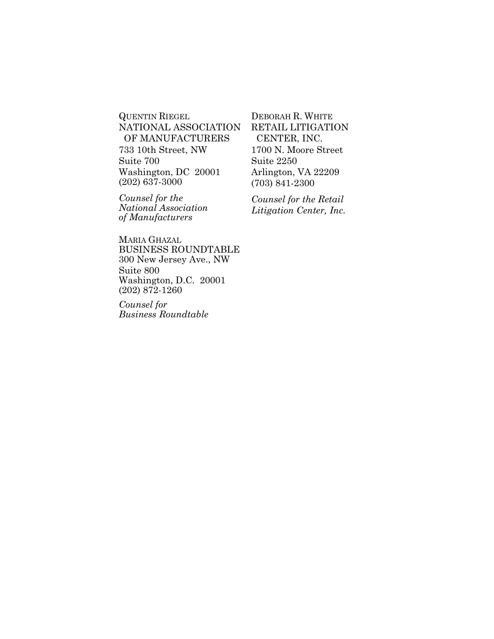QUENTIN RIEGEL NATIONAL ASSOCIATION OF MANUFACTURERS 733 10th Street, NW Suite 700 Washington, DC 20001 (202) 637-3000

*Counsel for the National Association of Manufacturers*

DEBORAH R. WHITE RETAIL LITIGATION CENTER, INC. 1700 N. Moore Street Suite 2250 Arlington, VA 22209 (703) 841-2300

*Counsel for the Retail Litigation Center, Inc.*

MARIA GHAZAL BUSINESS ROUNDTABLE 300 New Jersey Ave., NW Suite 800 Washington, D.C. 20001 (202) 872-1260

*Counsel for Business Roundtable*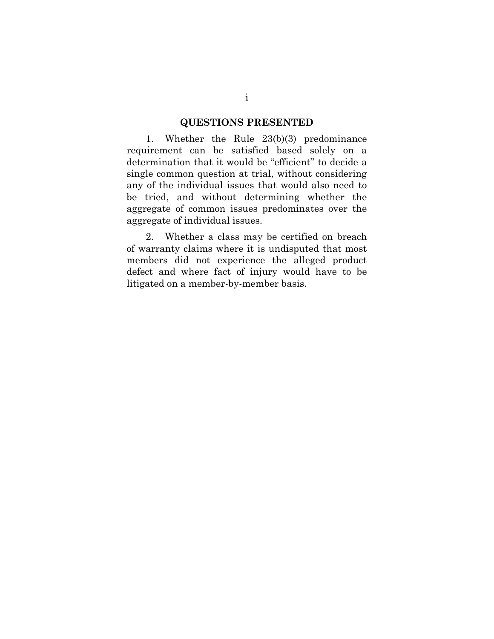#### **QUESTIONS PRESENTED**

1. Whether the Rule 23(b)(3) predominance requirement can be satisfied based solely on a determination that it would be "efficient" to decide a single common question at trial, without considering any of the individual issues that would also need to be tried, and without determining whether the aggregate of common issues predominates over the aggregate of individual issues.

2. Whether a class may be certified on breach of warranty claims where it is undisputed that most members did not experience the alleged product defect and where fact of injury would have to be litigated on a member-by-member basis.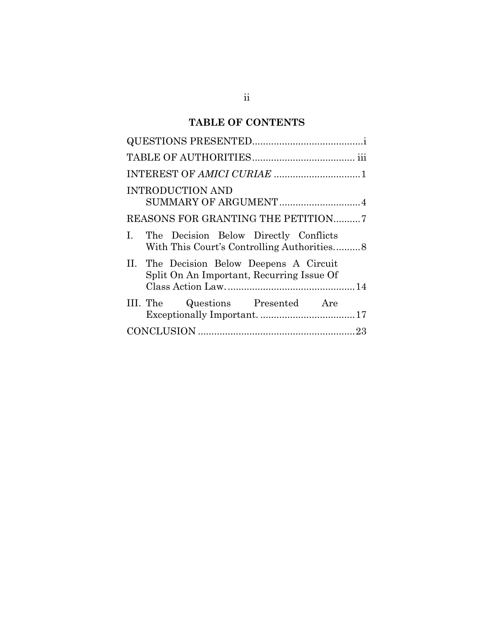# **TABLE OF CONTENTS**

| <b>INTRODUCTION AND</b>                                                               |
|---------------------------------------------------------------------------------------|
| SUMMARY OF ARGUMENT  4                                                                |
| REASONS FOR GRANTING THE PETITION7                                                    |
| I. The Decision Below Directly Conflicts                                              |
| II. The Decision Below Deepens A Circuit<br>Split On An Important, Recurring Issue Of |
| III. The Questions Presented Are                                                      |
|                                                                                       |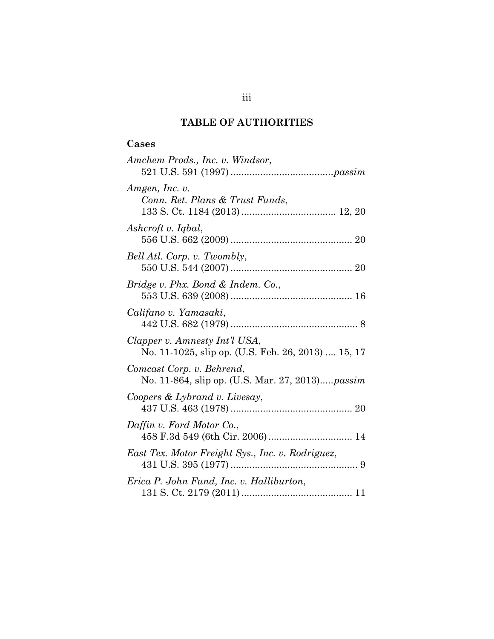# **TABLE OF AUTHORITIES**

# **Cases**

| Amchem Prods., Inc. v. Windsor,                                                     |
|-------------------------------------------------------------------------------------|
| Amgen, Inc. v.<br>Conn. Ret. Plans & Trust Funds,                                   |
| Ashcroft v. Iqbal,                                                                  |
| Bell Atl. Corp. v. Twombly,                                                         |
| Bridge v. Phx. Bond & Indem. Co.,                                                   |
| Califano v. Yamasaki,                                                               |
| Clapper v. Amnesty Int'l USA,<br>No. 11-1025, slip op. (U.S. Feb. 26, 2013)  15, 17 |
| Comcast Corp. v. Behrend,<br>No. 11-864, slip op. (U.S. Mar. 27, 2013)passim        |
| Coopers & Lybrand v. Livesay,                                                       |
| Daffin v. Ford Motor Co.,<br>458 F.3d 549 (6th Cir. 2006) 14                        |
| East Tex. Motor Freight Sys., Inc. v. Rodriguez,                                    |
| Erica P. John Fund, Inc. v. Halliburton,                                            |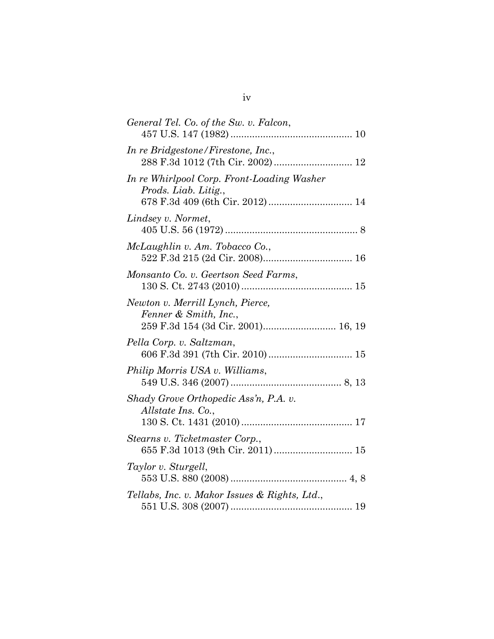| General Tel. Co. of the Sw. v. Falcon,                                                          |
|-------------------------------------------------------------------------------------------------|
| In re Bridgestone/Firestone, Inc.,                                                              |
| In re Whirlpool Corp. Front-Loading Washer<br>Prods. Liab. Litig.,                              |
| Lindsey v. Normet,                                                                              |
| McLaughlin v. Am. Tobacco Co.,                                                                  |
| Monsanto Co. v. Geertson Seed Farms,                                                            |
| Newton v. Merrill Lynch, Pierce,<br>Fenner & Smith, Inc.,<br>259 F.3d 154 (3d Cir. 2001) 16, 19 |
| Pella Corp. v. Saltzman,<br>606 F.3d 391 (7th Cir. 2010) 15                                     |
| Philip Morris USA v. Williams,                                                                  |
| Shady Grove Orthopedic Ass'n, P.A. v.<br>Allstate Ins. Co.,                                     |
| Stearns v. Ticketmaster Corp.,<br>655 F.3d 1013 (9th Cir. 2011)  15                             |
| Taylor v. Sturgell,                                                                             |
| Tellabs, Inc. v. Makor Issues & Rights, Ltd.,                                                   |
|                                                                                                 |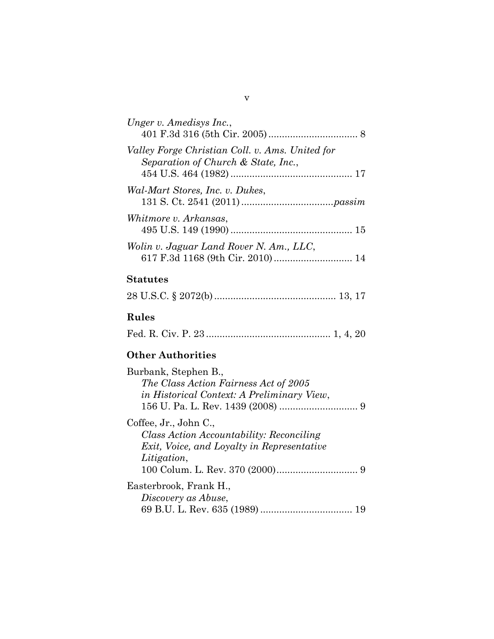| Unger v. Amedisys Inc.,                                                                |  |
|----------------------------------------------------------------------------------------|--|
| Valley Forge Christian Coll. v. Ams. United for<br>Separation of Church & State, Inc., |  |
| Wal-Mart Stores, Inc. v. Dukes,                                                        |  |
| Whitmore v. Arkansas,                                                                  |  |
| Wolin v. Jaguar Land Rover N. Am., LLC,                                                |  |

# **Statutes**

|--|--|--|--|

# **Rules**

|--|--|--|--|--|--|--|--|--|

# **Other Authorities**

## v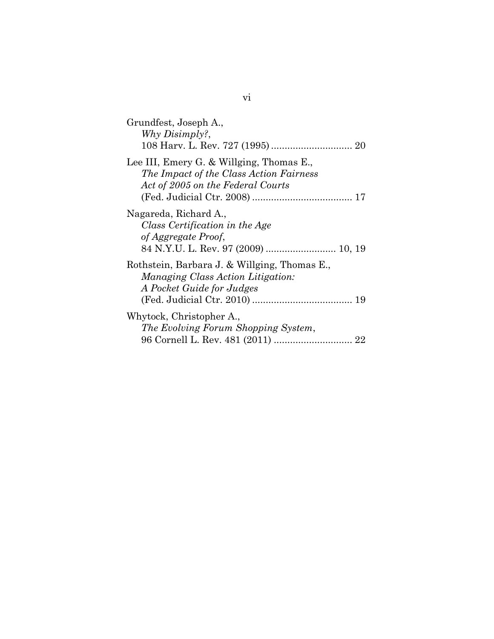| Grundfest, Joseph A.,<br>Why Disimply?,                                                                                  |
|--------------------------------------------------------------------------------------------------------------------------|
| Lee III, Emery G. & Willging, Thomas E.,<br>The Impact of the Class Action Fairness<br>Act of 2005 on the Federal Courts |
| Nagareda, Richard A.,<br>Class Certification in the Age<br>of Aggregate Proof,                                           |
| Rothstein, Barbara J. & Willging, Thomas E.,<br>Managing Class Action Litigation:<br>A Pocket Guide for Judges           |
| Whytock, Christopher A.,<br>The Evolving Forum Shopping System,                                                          |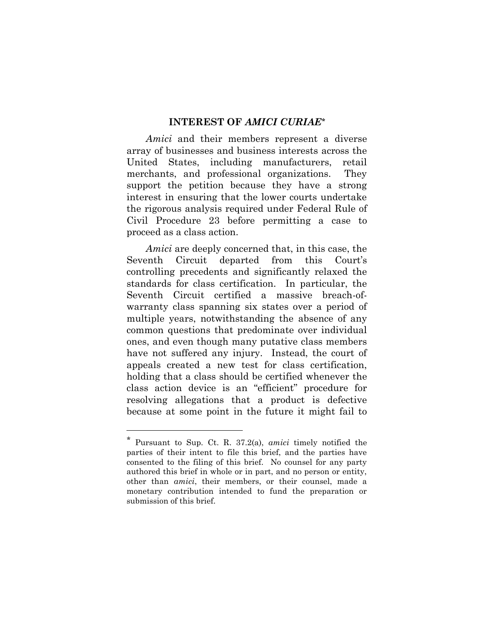### **INTEREST OF** *AMICI CURIAE\**

*Amici* and their members represent a diverse array of businesses and business interests across the United States, including manufacturers, retail merchants, and professional organizations. They support the petition because they have a strong interest in ensuring that the lower courts undertake the rigorous analysis required under Federal Rule of Civil Procedure 23 before permitting a case to proceed as a class action.

*Amici* are deeply concerned that, in this case, the Seventh Circuit departed from this Court's controlling precedents and significantly relaxed the standards for class certification. In particular, the Seventh Circuit certified a massive breach-ofwarranty class spanning six states over a period of multiple years, notwithstanding the absence of any common questions that predominate over individual ones, and even though many putative class members have not suffered any injury. Instead, the court of appeals created a new test for class certification, holding that a class should be certified whenever the class action device is an "efficient" procedure for resolving allegations that a product is defective because at some point in the future it might fail to

l

<sup>\*</sup> Pursuant to Sup. Ct. R. 37.2(a), *amici* timely notified the parties of their intent to file this brief, and the parties have consented to the filing of this brief. No counsel for any party authored this brief in whole or in part, and no person or entity, other than *amici*, their members, or their counsel, made a monetary contribution intended to fund the preparation or submission of this brief.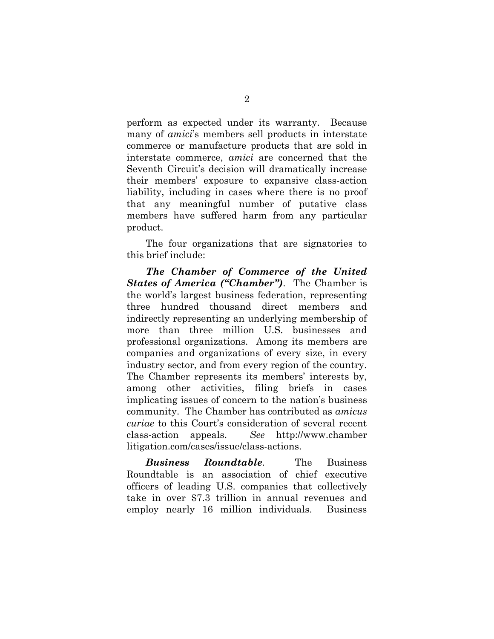perform as expected under its warranty. Because many of *amici*'s members sell products in interstate commerce or manufacture products that are sold in interstate commerce, *amici* are concerned that the Seventh Circuit's decision will dramatically increase their members' exposure to expansive class-action liability, including in cases where there is no proof that any meaningful number of putative class members have suffered harm from any particular product.

The four organizations that are signatories to this brief include:

*The Chamber of Commerce of the United States of America ("Chamber")*. The Chamber is the world's largest business federation, representing three hundred thousand direct members and indirectly representing an underlying membership of more than three million U.S. businesses and professional organizations. Among its members are companies and organizations of every size, in every industry sector, and from every region of the country. The Chamber represents its members' interests by, among other activities, filing briefs in cases implicating issues of concern to the nation's business community. The Chamber has contributed as *amicus curiae* to this Court's consideration of several recent class-action appeals. *See* http://www.chamber litigation.com/cases/issue/class-actions.

*Business Roundtable.* The Business Roundtable is an association of chief executive officers of leading U.S. companies that collectively take in over \$7.3 trillion in annual revenues and employ nearly 16 million individuals. Business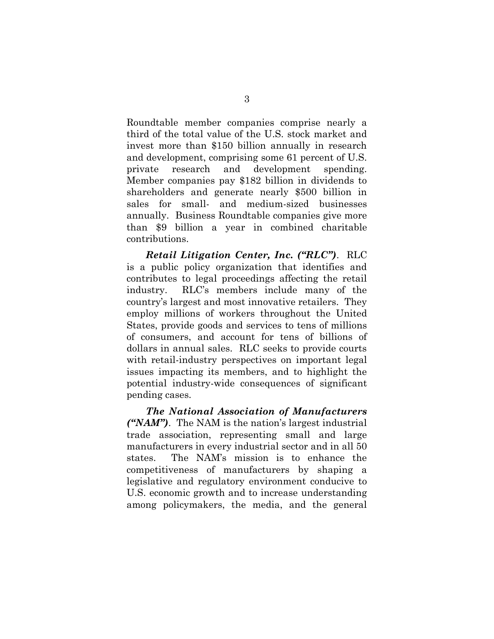Roundtable member companies comprise nearly a third of the total value of the U.S. stock market and invest more than \$150 billion annually in research and development, comprising some 61 percent of U.S. private research and development spending. Member companies pay \$182 billion in dividends to shareholders and generate nearly \$500 billion in sales for small- and medium-sized businesses annually. Business Roundtable companies give more than \$9 billion a year in combined charitable contributions.

*Retail Litigation Center, Inc. ("RLC")*. RLC is a public policy organization that identifies and contributes to legal proceedings affecting the retail industry. RLC's members include many of the country's largest and most innovative retailers. They employ millions of workers throughout the United States, provide goods and services to tens of millions of consumers, and account for tens of billions of dollars in annual sales. RLC seeks to provide courts with retail-industry perspectives on important legal issues impacting its members, and to highlight the potential industry-wide consequences of significant pending cases.

*The National Association of Manufacturers ("NAM")*. The NAM is the nation's largest industrial trade association, representing small and large manufacturers in every industrial sector and in all 50 states. The NAM's mission is to enhance the competitiveness of manufacturers by shaping a legislative and regulatory environment conducive to U.S. economic growth and to increase understanding among policymakers, the media, and the general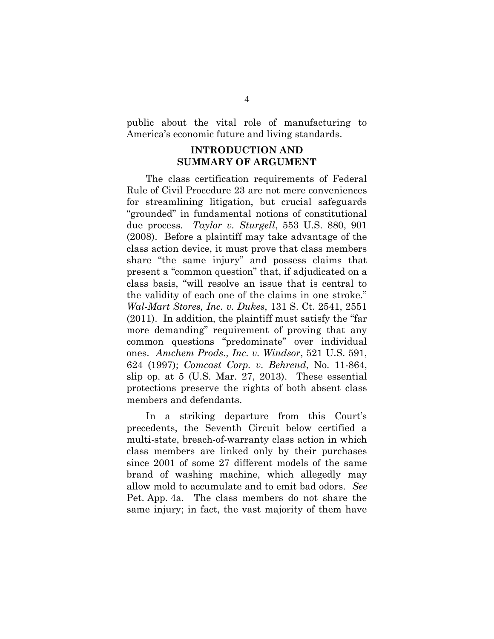public about the vital role of manufacturing to America's economic future and living standards.

## **INTRODUCTION AND SUMMARY OF ARGUMENT**

The class certification requirements of Federal Rule of Civil Procedure 23 are not mere conveniences for streamlining litigation, but crucial safeguards "grounded" in fundamental notions of constitutional due process. *Taylor v. Sturgell*, 553 U.S. 880, 901 (2008). Before a plaintiff may take advantage of the class action device, it must prove that class members share "the same injury" and possess claims that present a "common question" that, if adjudicated on a class basis, "will resolve an issue that is central to the validity of each one of the claims in one stroke." *Wal-Mart Stores, Inc. v. Dukes*, 131 S. Ct. 2541, 2551 (2011). In addition, the plaintiff must satisfy the "far more demanding" requirement of proving that any common questions "predominate" over individual ones. *Amchem Prods., Inc. v. Windsor*, 521 U.S. 591, 624 (1997); *Comcast Corp. v. Behrend*, No. 11-864, slip op. at 5 (U.S. Mar. 27, 2013). These essential protections preserve the rights of both absent class members and defendants.

In a striking departure from this Court's precedents, the Seventh Circuit below certified a multi-state, breach-of-warranty class action in which class members are linked only by their purchases since 2001 of some 27 different models of the same brand of washing machine, which allegedly may allow mold to accumulate and to emit bad odors. *See* Pet. App. 4a. The class members do not share the same injury; in fact, the vast majority of them have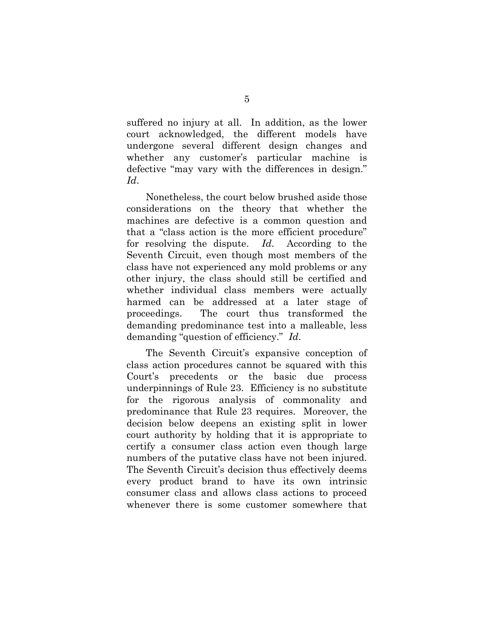suffered no injury at all. In addition, as the lower court acknowledged, the different models have undergone several different design changes and whether any customer's particular machine is defective "may vary with the differences in design." *Id*.

Nonetheless, the court below brushed aside those considerations on the theory that whether the machines are defective is a common question and that a "class action is the more efficient procedure" for resolving the dispute. *Id*. According to the Seventh Circuit, even though most members of the class have not experienced any mold problems or any other injury, the class should still be certified and whether individual class members were actually harmed can be addressed at a later stage of proceedings. The court thus transformed the demanding predominance test into a malleable, less demanding "question of efficiency." *Id*.

The Seventh Circuit's expansive conception of class action procedures cannot be squared with this Court's precedents or the basic due process underpinnings of Rule 23. Efficiency is no substitute for the rigorous analysis of commonality and predominance that Rule 23 requires. Moreover, the decision below deepens an existing split in lower court authority by holding that it is appropriate to certify a consumer class action even though large numbers of the putative class have not been injured. The Seventh Circuit's decision thus effectively deems every product brand to have its own intrinsic consumer class and allows class actions to proceed whenever there is some customer somewhere that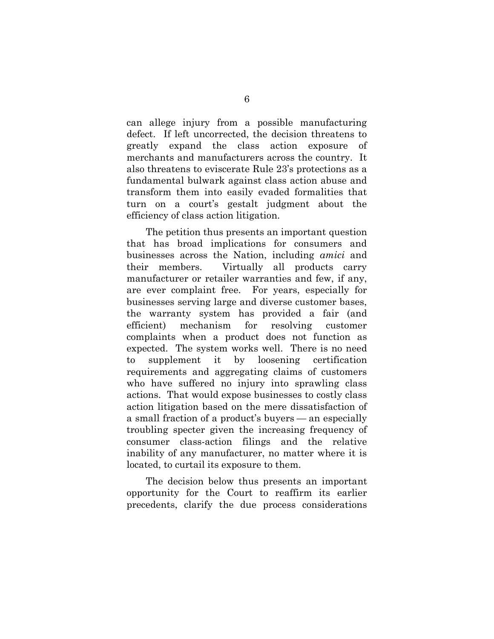can allege injury from a possible manufacturing defect. If left uncorrected, the decision threatens to greatly expand the class action exposure of merchants and manufacturers across the country. It also threatens to eviscerate Rule 23's protections as a fundamental bulwark against class action abuse and transform them into easily evaded formalities that turn on a court's gestalt judgment about the efficiency of class action litigation.

The petition thus presents an important question that has broad implications for consumers and businesses across the Nation, including *amici* and their members. Virtually all products carry manufacturer or retailer warranties and few, if any, are ever complaint free. For years, especially for businesses serving large and diverse customer bases, the warranty system has provided a fair (and efficient) mechanism for resolving customer complaints when a product does not function as expected. The system works well. There is no need to supplement it by loosening certification requirements and aggregating claims of customers who have suffered no injury into sprawling class actions. That would expose businesses to costly class action litigation based on the mere dissatisfaction of a small fraction of a product's buyers — an especially troubling specter given the increasing frequency of consumer class-action filings and the relative inability of any manufacturer, no matter where it is located, to curtail its exposure to them.

The decision below thus presents an important opportunity for the Court to reaffirm its earlier precedents, clarify the due process considerations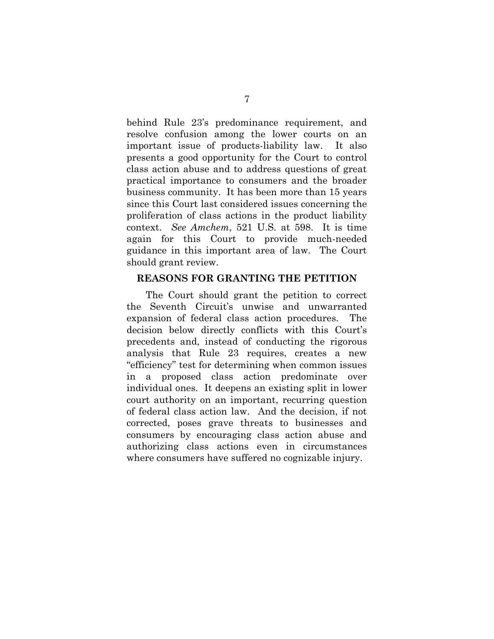behind Rule 23's predominance requirement, and resolve confusion among the lower courts on an important issue of products-liability law. It also presents a good opportunity for the Court to control class action abuse and to address questions of great practical importance to consumers and the broader business community. It has been more than 15 years since this Court last considered issues concerning the proliferation of class actions in the product liability context. *See Amchem*, 521 U.S. at 598. It is time again for this Court to provide much-needed guidance in this important area of law. The Court should grant review.

### **REASONS FOR GRANTING THE PETITION**

The Court should grant the petition to correct the Seventh Circuit's unwise and unwarranted expansion of federal class action procedures. The decision below directly conflicts with this Court's precedents and, instead of conducting the rigorous analysis that Rule 23 requires, creates a new "efficiency" test for determining when common issues in a proposed class action predominate over individual ones. It deepens an existing split in lower court authority on an important, recurring question of federal class action law. And the decision, if not corrected, poses grave threats to businesses and consumers by encouraging class action abuse and authorizing class actions even in circumstances where consumers have suffered no cognizable injury.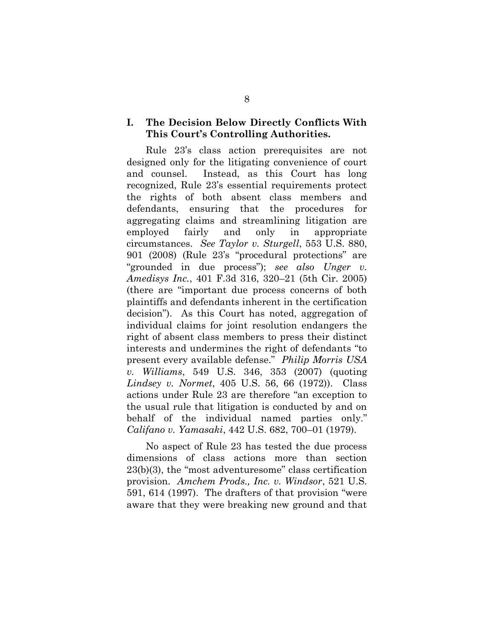## **I. The Decision Below Directly Conflicts With This Court's Controlling Authorities.**

Rule 23's class action prerequisites are not designed only for the litigating convenience of court and counsel. Instead, as this Court has long recognized, Rule 23's essential requirements protect the rights of both absent class members and defendants, ensuring that the procedures for aggregating claims and streamlining litigation are employed fairly and only in appropriate circumstances. *See Taylor v. Sturgell*, 553 U.S. 880, 901 (2008) (Rule 23's "procedural protections" are "grounded in due process"); *see also Unger v. Amedisys Inc.*, 401 F.3d 316, 320–21 (5th Cir. 2005) (there are "important due process concerns of both plaintiffs and defendants inherent in the certification decision"). As this Court has noted, aggregation of individual claims for joint resolution endangers the right of absent class members to press their distinct interests and undermines the right of defendants "to present every available defense." *Philip Morris USA v. Williams*, 549 U.S. 346, 353 (2007) (quoting *Lindsey v. Normet*, 405 U.S. 56, 66 (1972)). Class actions under Rule 23 are therefore "an exception to the usual rule that litigation is conducted by and on behalf of the individual named parties only." *Califano v. Yamasaki*, 442 U.S. 682, 700–01 (1979).

No aspect of Rule 23 has tested the due process dimensions of class actions more than section 23(b)(3), the "most adventuresome" class certification provision. *Amchem Prods., Inc. v. Windsor*, 521 U.S. 591, 614 (1997). The drafters of that provision "were aware that they were breaking new ground and that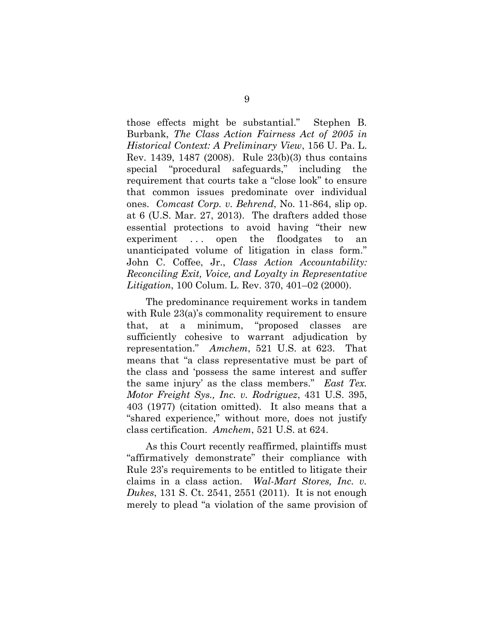those effects might be substantial." Stephen B. Burbank, *The Class Action Fairness Act of 2005 in Historical Context: A Preliminary View*, 156 U. Pa. L. Rev. 1439, 1487 (2008). Rule 23(b)(3) thus contains special "procedural safeguards," including the requirement that courts take a "close look" to ensure that common issues predominate over individual ones. *Comcast Corp. v. Behrend*, No. 11-864, slip op. at 6 (U.S. Mar. 27, 2013). The drafters added those essential protections to avoid having "their new experiment ... open the floodgates to an unanticipated volume of litigation in class form." John C. Coffee, Jr., *Class Action Accountability: Reconciling Exit, Voice, and Loyalty in Representative Litigation*, 100 Colum. L. Rev. 370, 401–02 (2000).

The predominance requirement works in tandem with Rule 23(a)'s commonality requirement to ensure that, at a minimum, "proposed classes are sufficiently cohesive to warrant adjudication by representation." *Amchem*, 521 U.S. at 623. That means that "a class representative must be part of the class and 'possess the same interest and suffer the same injury' as the class members." *East Tex. Motor Freight Sys., Inc. v. Rodriguez*, 431 U.S. 395, 403 (1977) (citation omitted). It also means that a "shared experience," without more, does not justify class certification. *Amchem*, 521 U.S. at 624.

As this Court recently reaffirmed, plaintiffs must "affirmatively demonstrate" their compliance with Rule 23's requirements to be entitled to litigate their claims in a class action. *Wal-Mart Stores, Inc. v. Dukes*, 131 S. Ct. 2541, 2551 (2011). It is not enough merely to plead "a violation of the same provision of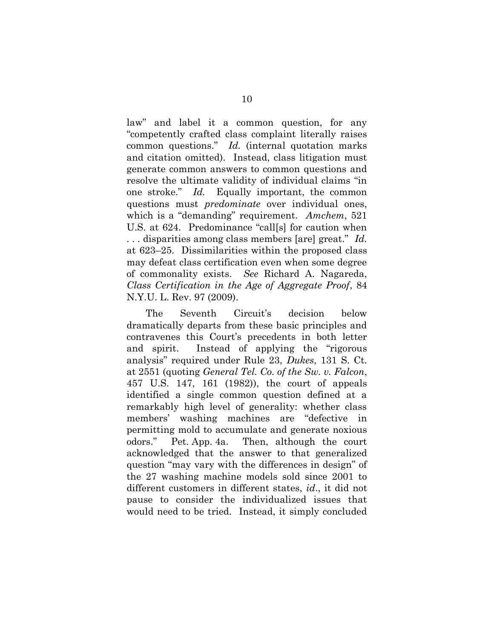law" and label it a common question, for any "competently crafted class complaint literally raises common questions." *Id.* (internal quotation marks and citation omitted). Instead, class litigation must generate common answers to common questions and resolve the ultimate validity of individual claims "in one stroke." *Id.* Equally important, the common questions must *predominate* over individual ones, which is a "demanding" requirement. *Amchem*, 521 U.S. at 624. Predominance "call[s] for caution when . . . disparities among class members [are] great." *Id.* at 623–25. Dissimilarities within the proposed class may defeat class certification even when some degree of commonality exists. *See* Richard A. Nagareda, *Class Certification in the Age of Aggregate Proof*, 84 N.Y.U. L. Rev. 97 (2009).

The Seventh Circuit's decision below dramatically departs from these basic principles and contravenes this Court's precedents in both letter and spirit. Instead of applying the "rigorous analysis" required under Rule 23, *Dukes*, 131 S. Ct. at 2551 (quoting *General Tel. Co. of the Sw. v. Falcon*, 457 U.S. 147, 161 (1982)), the court of appeals identified a single common question defined at a remarkably high level of generality: whether class members' washing machines are "defective in permitting mold to accumulate and generate noxious odors." Pet. App. 4a. Then, although the court acknowledged that the answer to that generalized question "may vary with the differences in design" of the 27 washing machine models sold since 2001 to different customers in different states, *id*., it did not pause to consider the individualized issues that would need to be tried. Instead, it simply concluded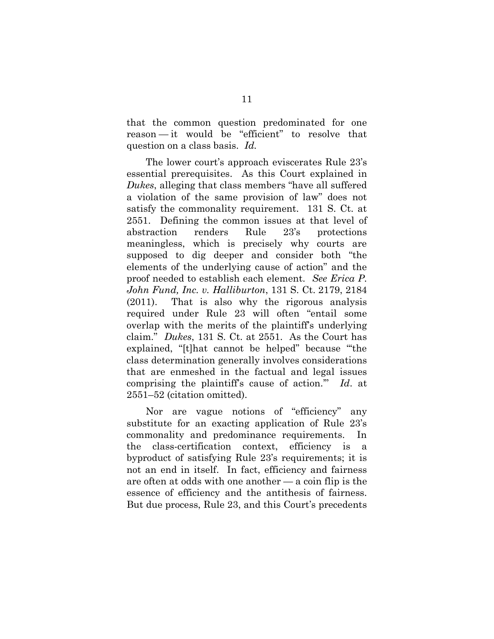that the common question predominated for one reason — it would be "efficient" to resolve that question on a class basis. *Id.*

The lower court's approach eviscerates Rule 23's essential prerequisites. As this Court explained in *Dukes*, alleging that class members "have all suffered a violation of the same provision of law" does not satisfy the commonality requirement. 131 S. Ct. at 2551. Defining the common issues at that level of abstraction renders Rule 23's protections meaningless, which is precisely why courts are supposed to dig deeper and consider both "the elements of the underlying cause of action" and the proof needed to establish each element. *See Erica P. John Fund, Inc. v. Halliburton*, 131 S. Ct. 2179, 2184 (2011). That is also why the rigorous analysis required under Rule 23 will often "entail some overlap with the merits of the plaintiff's underlying claim." *Dukes*, 131 S. Ct. at 2551. As the Court has explained, "[t]hat cannot be helped" because "the class determination generally involves considerations that are enmeshed in the factual and legal issues comprising the plaintiff's cause of action.'" *Id*. at 2551–52 (citation omitted).

Nor are vague notions of "efficiency" any substitute for an exacting application of Rule 23's commonality and predominance requirements. In the class-certification context, efficiency is a byproduct of satisfying Rule 23's requirements; it is not an end in itself. In fact, efficiency and fairness are often at odds with one another — a coin flip is the essence of efficiency and the antithesis of fairness. But due process, Rule 23, and this Court's precedents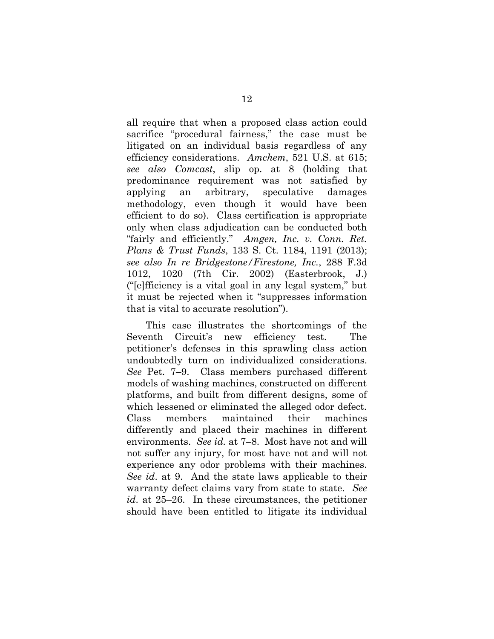all require that when a proposed class action could sacrifice "procedural fairness," the case must be litigated on an individual basis regardless of any efficiency considerations. *Amchem*, 521 U.S. at 615; *see also Comcast*, slip op. at 8 (holding that predominance requirement was not satisfied by applying an arbitrary, speculative damages methodology, even though it would have been efficient to do so). Class certification is appropriate only when class adjudication can be conducted both "fairly and efficiently." *Amgen, Inc. v. Conn. Ret. Plans & Trust Funds*, 133 S. Ct. 1184, 1191 (2013); *see also In re Bridgestone/Firestone, Inc.*, 288 F.3d 1012, 1020 (7th Cir. 2002) (Easterbrook, J.) ("[e]fficiency is a vital goal in any legal system," but it must be rejected when it "suppresses information that is vital to accurate resolution").

This case illustrates the shortcomings of the Seventh Circuit's new efficiency test. The petitioner's defenses in this sprawling class action undoubtedly turn on individualized considerations. *See* Pet. 7–9. Class members purchased different models of washing machines, constructed on different platforms, and built from different designs, some of which lessened or eliminated the alleged odor defect. Class members maintained their machines differently and placed their machines in different environments. *See id.* at 7–8. Most have not and will not suffer any injury, for most have not and will not experience any odor problems with their machines. *See id*. at 9. And the state laws applicable to their warranty defect claims vary from state to state. *See id*. at 25–26. In these circumstances, the petitioner should have been entitled to litigate its individual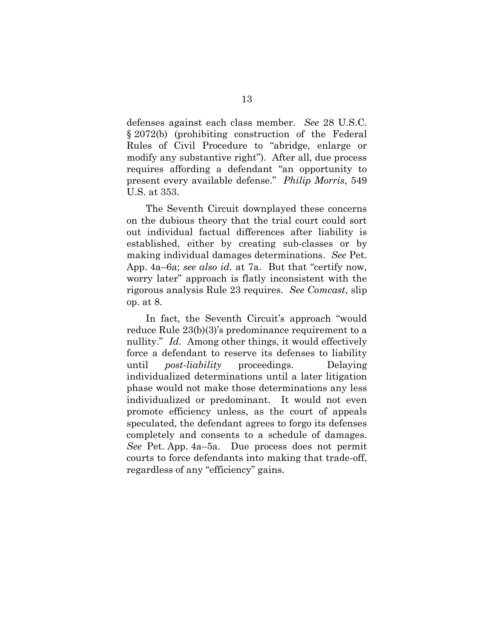defenses against each class member. *See* 28 U.S.C. § 2072(b) (prohibiting construction of the Federal Rules of Civil Procedure to "abridge, enlarge or modify any substantive right"). After all, due process requires affording a defendant "an opportunity to present every available defense." *Philip Morris*, 549 U.S. at 353.

The Seventh Circuit downplayed these concerns on the dubious theory that the trial court could sort out individual factual differences after liability is established, either by creating sub-classes or by making individual damages determinations. *See* Pet. App. 4a–6a; *see also id.* at 7a. But that "certify now, worry later" approach is flatly inconsistent with the rigorous analysis Rule 23 requires. *See Comcast*, slip op. at 8.

In fact, the Seventh Circuit's approach "would reduce Rule 23(b)(3)'s predominance requirement to a nullity." *Id.* Among other things, it would effectively force a defendant to reserve its defenses to liability until *post-liability* proceedings. Delaying individualized determinations until a later litigation phase would not make those determinations any less individualized or predominant. It would not even promote efficiency unless, as the court of appeals speculated, the defendant agrees to forgo its defenses completely and consents to a schedule of damages. *See* Pet. App. 4a–5a. Due process does not permit courts to force defendants into making that trade-off, regardless of any "efficiency" gains.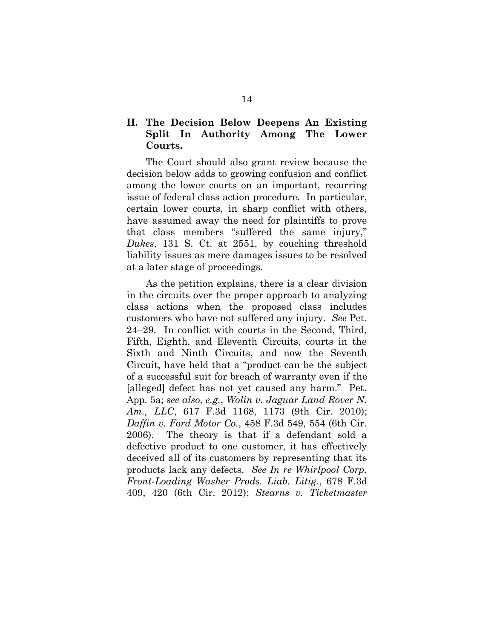# **II. The Decision Below Deepens An Existing Split In Authority Among The Lower Courts.**

The Court should also grant review because the decision below adds to growing confusion and conflict among the lower courts on an important, recurring issue of federal class action procedure. In particular, certain lower courts, in sharp conflict with others, have assumed away the need for plaintiffs to prove that class members "suffered the same injury," *Dukes*, 131 S. Ct. at 2551, by couching threshold liability issues as mere damages issues to be resolved at a later stage of proceedings.

As the petition explains, there is a clear division in the circuits over the proper approach to analyzing class actions when the proposed class includes customers who have not suffered any injury. *See* Pet. 24–29. In conflict with courts in the Second, Third, Fifth, Eighth, and Eleventh Circuits, courts in the Sixth and Ninth Circuits, and now the Seventh Circuit, have held that a "product can be the subject of a successful suit for breach of warranty even if the [alleged] defect has not yet caused any harm." Pet. App. 5a; *see also, e.g.*, *Wolin v. Jaguar Land Rover N. Am., LLC*, 617 F.3d 1168, 1173 (9th Cir. 2010); *Daffin v. Ford Motor Co.*, 458 F.3d 549, 554 (6th Cir. 2006). The theory is that if a defendant sold a defective product to one customer, it has effectively deceived all of its customers by representing that its products lack any defects. *See In re Whirlpool Corp. Front-Loading Washer Prods. Liab. Litig.*, 678 F.3d 409, 420 (6th Cir. 2012); *Stearns v. Ticketmaster*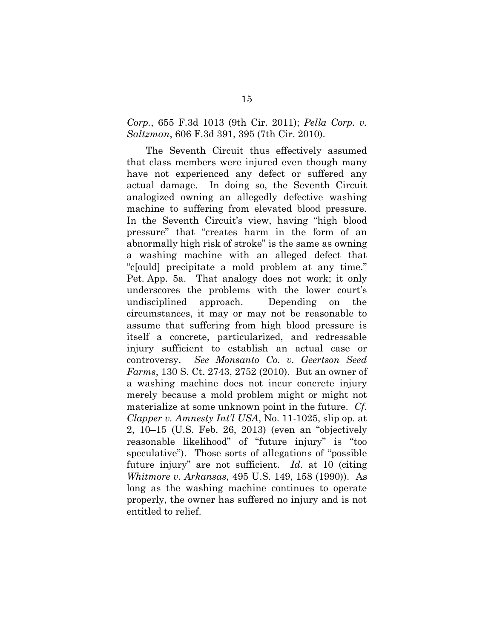## *Corp.*, 655 F.3d 1013 (9th Cir. 2011); *Pella Corp. v. Saltzman*, 606 F.3d 391, 395 (7th Cir. 2010).

The Seventh Circuit thus effectively assumed that class members were injured even though many have not experienced any defect or suffered any actual damage. In doing so, the Seventh Circuit analogized owning an allegedly defective washing machine to suffering from elevated blood pressure. In the Seventh Circuit's view, having "high blood pressure" that "creates harm in the form of an abnormally high risk of stroke" is the same as owning a washing machine with an alleged defect that "c[ould] precipitate a mold problem at any time." Pet. App. 5a. That analogy does not work; it only underscores the problems with the lower court's undisciplined approach. Depending on the circumstances, it may or may not be reasonable to assume that suffering from high blood pressure is itself a concrete, particularized, and redressable injury sufficient to establish an actual case or controversy. *See Monsanto Co. v. Geertson Seed Farms*, 130 S. Ct. 2743, 2752 (2010). But an owner of a washing machine does not incur concrete injury merely because a mold problem might or might not materialize at some unknown point in the future. *Cf. Clapper v. Amnesty Int'l USA*, No. 11-1025, slip op. at 2, 10–15 (U.S. Feb. 26, 2013) (even an "objectively reasonable likelihood" of "future injury" is "too speculative").Those sorts of allegations of "possible future injury" are not sufficient. *Id.* at 10 (citing *Whitmore v. Arkansas*, 495 U.S. 149, 158 (1990)). As long as the washing machine continues to operate properly, the owner has suffered no injury and is not entitled to relief.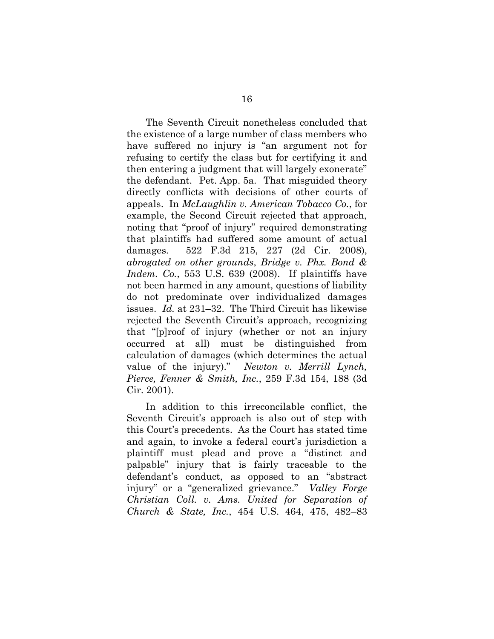The Seventh Circuit nonetheless concluded that the existence of a large number of class members who have suffered no injury is "an argument not for refusing to certify the class but for certifying it and then entering a judgment that will largely exonerate" the defendant. Pet. App. 5a. That misguided theory directly conflicts with decisions of other courts of appeals. In *McLaughlin v. American Tobacco Co.*, for example, the Second Circuit rejected that approach, noting that "proof of injury" required demonstrating that plaintiffs had suffered some amount of actual damages. 522 F.3d 215, 227 (2d Cir. 2008), *abrogated on other grounds*, *Bridge v. Phx. Bond & Indem. Co.*, 553 U.S. 639 (2008). If plaintiffs have not been harmed in any amount, questions of liability do not predominate over individualized damages issues. *Id.* at 231–32. The Third Circuit has likewise rejected the Seventh Circuit's approach, recognizing that "[p]roof of injury (whether or not an injury occurred at all) must be distinguished from calculation of damages (which determines the actual value of the injury)." *Newton v. Merrill Lynch, Pierce, Fenner & Smith, Inc.*, 259 F.3d 154, 188 (3d Cir. 2001).

In addition to this irreconcilable conflict, the Seventh Circuit's approach is also out of step with this Court's precedents. As the Court has stated time and again, to invoke a federal court's jurisdiction a plaintiff must plead and prove a "distinct and palpable" injury that is fairly traceable to the defendant's conduct, as opposed to an "abstract injury" or a "generalized grievance." *Valley Forge Christian Coll. v. Ams. United for Separation of Church & State, Inc.*, 454 U.S. 464, 475, 482–83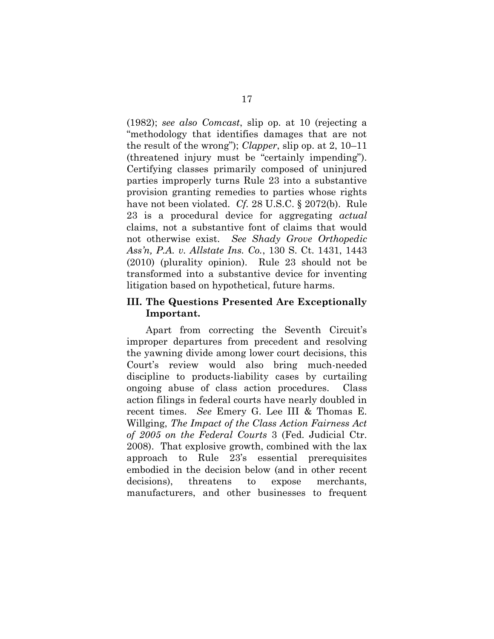(1982); *see also Comcast*, slip op. at 10 (rejecting a "methodology that identifies damages that are not the result of the wrong"); *Clapper*, slip op. at 2, 10–11 (threatened injury must be "certainly impending"). Certifying classes primarily composed of uninjured parties improperly turns Rule 23 into a substantive provision granting remedies to parties whose rights have not been violated. *Cf.* 28 U.S.C. § 2072(b). Rule 23 is a procedural device for aggregating *actual* claims, not a substantive font of claims that would not otherwise exist. *See Shady Grove Orthopedic Ass'n, P.A. v. Allstate Ins. Co.*, 130 S. Ct. 1431, 1443 (2010) (plurality opinion). Rule 23 should not be transformed into a substantive device for inventing litigation based on hypothetical, future harms.

## **III. The Questions Presented Are Exceptionally Important.**

Apart from correcting the Seventh Circuit's improper departures from precedent and resolving the yawning divide among lower court decisions, this Court's review would also bring much-needed discipline to products-liability cases by curtailing ongoing abuse of class action procedures. Class action filings in federal courts have nearly doubled in recent times. *See* Emery G. Lee III & Thomas E. Willging, *The Impact of the Class Action Fairness Act of 2005 on the Federal Courts* 3 (Fed. Judicial Ctr. 2008). That explosive growth, combined with the lax approach to Rule 23's essential prerequisites embodied in the decision below (and in other recent decisions), threatens to expose merchants, manufacturers, and other businesses to frequent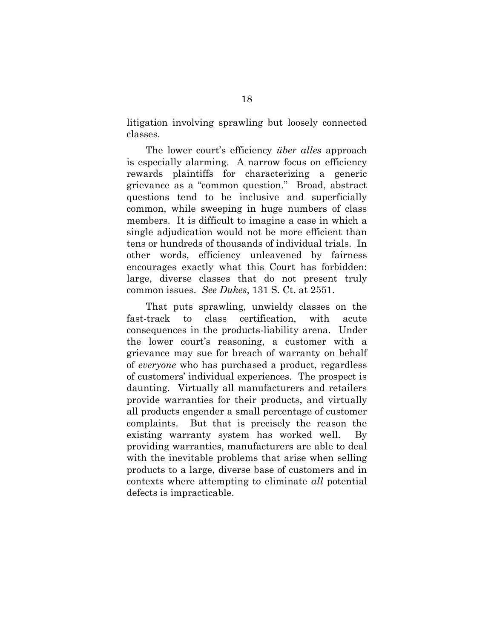litigation involving sprawling but loosely connected classes.

The lower court's efficiency *über alles* approach is especially alarming. A narrow focus on efficiency rewards plaintiffs for characterizing a generic grievance as a "common question." Broad, abstract questions tend to be inclusive and superficially common, while sweeping in huge numbers of class members. It is difficult to imagine a case in which a single adjudication would not be more efficient than tens or hundreds of thousands of individual trials. In other words, efficiency unleavened by fairness encourages exactly what this Court has forbidden: large, diverse classes that do not present truly common issues. *See Dukes*, 131 S. Ct. at 2551.

That puts sprawling, unwieldy classes on the fast-track to class certification, with acute consequences in the products-liability arena. Under the lower court's reasoning, a customer with a grievance may sue for breach of warranty on behalf of *everyone* who has purchased a product, regardless of customers' individual experiences. The prospect is daunting. Virtually all manufacturers and retailers provide warranties for their products, and virtually all products engender a small percentage of customer complaints. But that is precisely the reason the existing warranty system has worked well. By providing warranties, manufacturers are able to deal with the inevitable problems that arise when selling products to a large, diverse base of customers and in contexts where attempting to eliminate *all* potential defects is impracticable.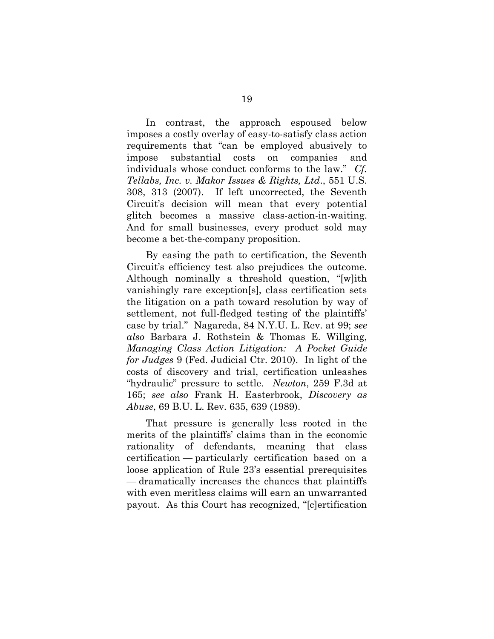In contrast, the approach espoused below imposes a costly overlay of easy-to-satisfy class action requirements that "can be employed abusively to impose substantial costs on companies and individuals whose conduct conforms to the law." *Cf. Tellabs, Inc. v. Makor Issues & Rights, Ltd*., 551 U.S. 308, 313 (2007). If left uncorrected, the Seventh Circuit's decision will mean that every potential glitch becomes a massive class-action-in-waiting. And for small businesses, every product sold may become a bet-the-company proposition.

By easing the path to certification, the Seventh Circuit's efficiency test also prejudices the outcome. Although nominally a threshold question, "[w]ith vanishingly rare exception[s], class certification sets the litigation on a path toward resolution by way of settlement, not full-fledged testing of the plaintiffs' case by trial." Nagareda, 84 N.Y.U. L. Rev. at 99; *see also* Barbara J. Rothstein & Thomas E. Willging, *Managing Class Action Litigation: A Pocket Guide for Judges* 9 (Fed. Judicial Ctr. 2010). In light of the costs of discovery and trial, certification unleashes "hydraulic" pressure to settle. *Newton*, 259 F.3d at 165; *see also* Frank H. Easterbrook, *Discovery as Abuse*, 69 B.U. L. Rev. 635, 639 (1989).

That pressure is generally less rooted in the merits of the plaintiffs' claims than in the economic rationality of defendants, meaning that class certification — particularly certification based on a loose application of Rule 23's essential prerequisites — dramatically increases the chances that plaintiffs with even meritless claims will earn an unwarranted payout. As this Court has recognized, "[c]ertification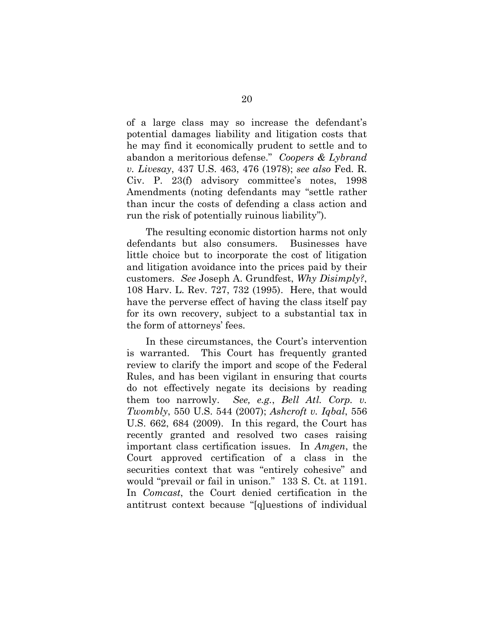of a large class may so increase the defendant's potential damages liability and litigation costs that he may find it economically prudent to settle and to abandon a meritorious defense." *Coopers & Lybrand v. Livesay*, 437 U.S. 463, 476 (1978); *see also* Fed. R. Civ. P. 23(f) advisory committee's notes, 1998 Amendments (noting defendants may "settle rather than incur the costs of defending a class action and run the risk of potentially ruinous liability").

The resulting economic distortion harms not only defendants but also consumers. Businesses have little choice but to incorporate the cost of litigation and litigation avoidance into the prices paid by their customers. *See* Joseph A. Grundfest, *Why Disimply?*, 108 Harv. L. Rev. 727, 732 (1995). Here, that would have the perverse effect of having the class itself pay for its own recovery, subject to a substantial tax in the form of attorneys' fees.

In these circumstances, the Court's intervention is warranted. This Court has frequently granted review to clarify the import and scope of the Federal Rules, and has been vigilant in ensuring that courts do not effectively negate its decisions by reading them too narrowly. *See, e.g.*, *Bell Atl. Corp. v. Twombly*, 550 U.S. 544 (2007); *Ashcroft v. Iqbal*, 556 U.S. 662, 684 (2009). In this regard, the Court has recently granted and resolved two cases raising important class certification issues. In *Amgen*, the Court approved certification of a class in the securities context that was "entirely cohesive" and would "prevail or fail in unison." 133 S. Ct. at 1191. In *Comcast*, the Court denied certification in the antitrust context because "[q]uestions of individual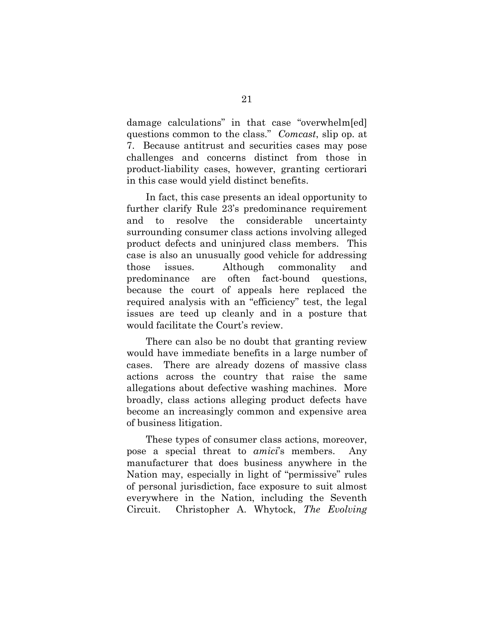damage calculations" in that case "overwhelm[ed] questions common to the class." *Comcast*, slip op. at 7. Because antitrust and securities cases may pose challenges and concerns distinct from those in product-liability cases, however, granting certiorari in this case would yield distinct benefits.

In fact, this case presents an ideal opportunity to further clarify Rule 23's predominance requirement and to resolve the considerable uncertainty surrounding consumer class actions involving alleged product defects and uninjured class members. This case is also an unusually good vehicle for addressing those issues. Although commonality and predominance are often fact-bound questions, because the court of appeals here replaced the required analysis with an "efficiency" test, the legal issues are teed up cleanly and in a posture that would facilitate the Court's review.

There can also be no doubt that granting review would have immediate benefits in a large number of cases. There are already dozens of massive class actions across the country that raise the same allegations about defective washing machines. More broadly, class actions alleging product defects have become an increasingly common and expensive area of business litigation.

These types of consumer class actions, moreover, pose a special threat to *amici*'s members. Any manufacturer that does business anywhere in the Nation may, especially in light of "permissive" rules of personal jurisdiction, face exposure to suit almost everywhere in the Nation, including the Seventh Circuit. Christopher A. Whytock, *The Evolving*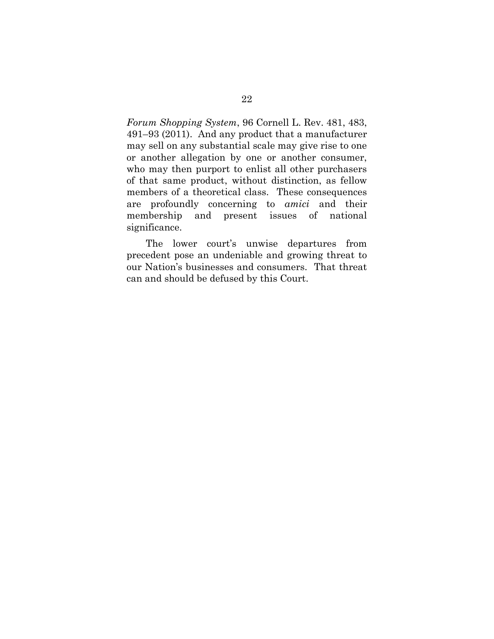*Forum Shopping System*, 96 Cornell L. Rev. 481, 483, 491–93 (2011). And any product that a manufacturer may sell on any substantial scale may give rise to one or another allegation by one or another consumer, who may then purport to enlist all other purchasers of that same product, without distinction, as fellow members of a theoretical class. These consequences are profoundly concerning to *amici* and their membership and present issues of national significance.

The lower court's unwise departures from precedent pose an undeniable and growing threat to our Nation's businesses and consumers. That threat can and should be defused by this Court.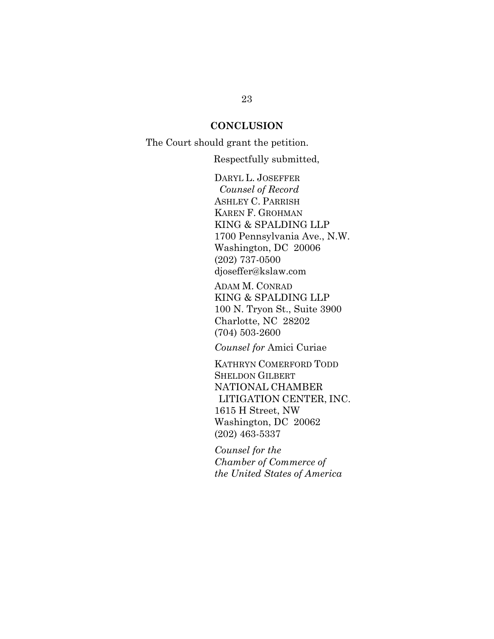#### **CONCLUSION**

The Court should grant the petition.

Respectfully submitted,

DARYL L. JOSEFFER *Counsel of Record* ASHLEY C. PARRISH KAREN F. GROHMAN KING & SPALDING LLP 1700 Pennsylvania Ave., N.W. Washington, DC 20006 (202) 737-0500 djoseffer@kslaw.com

ADAM M. CONRAD KING & SPALDING LLP 100 N. Tryon St., Suite 3900 Charlotte, NC 28202 (704) 503-2600

*Counsel for* Amici Curiae

KATHRYN COMERFORD TODD SHELDON GILBERT NATIONAL CHAMBER LITIGATION CENTER, INC. 1615 H Street, NW Washington, DC 20062 (202) 463-5337

*Counsel for the Chamber of Commerce of the United States of America*